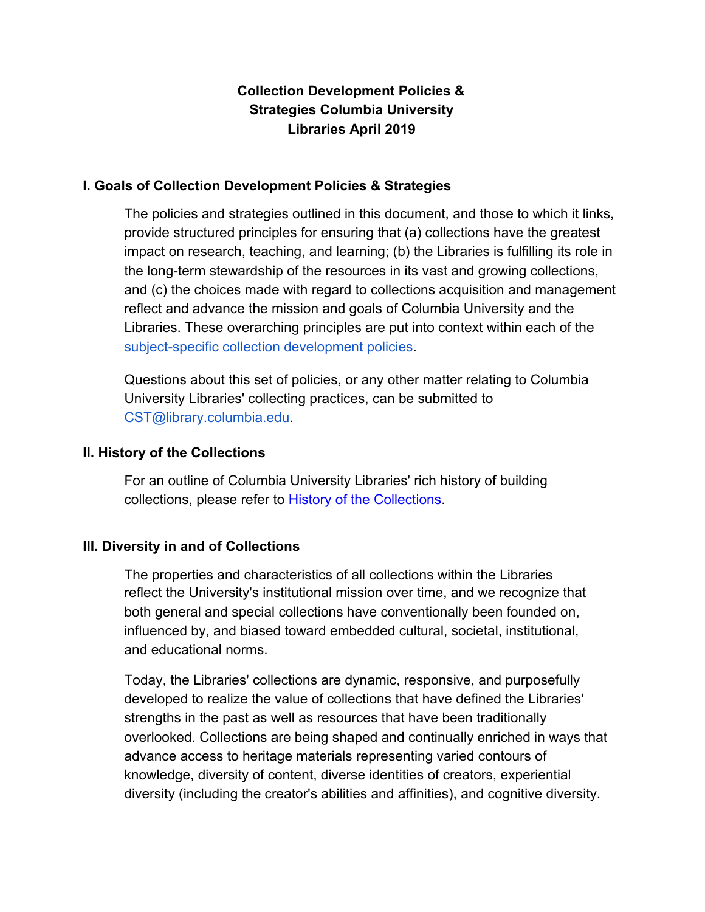# **Collection Development Policies & Strategies Columbia University Libraries April 2019**

### **I. Goals of Collection Development Policies & Strategies**

The policies and strategies outlined in this document, and those to which it links, provide structured principles for ensuring that (a) collections have the greatest impact on research, teaching, and learning; (b) the Libraries is fulfilling its role in the long-term stewardship of the resources in its vast and growing collections, and (c) the choices made with regard to collections acquisition and management reflect and advance the mission and goals of Columbia University and the Libraries. These overarching principles are put into context within each of the subject-specific collection development policies.

Questions about this set of policies, or any other matter relating to Columbia University Libraries' collecting practices, can be submitted to CST@library.columbia.edu.

#### **II. History of the Collections**

For an outline of Columbia University Libraries' rich history of building collections, please refer to History of the Collections.

# **III. Diversity in and of Collections**

The properties and characteristics of all collections within the Libraries reflect the University's institutional mission over time, and we recognize that both general and special collections have conventionally been founded on, influenced by, and biased toward embedded cultural, societal, institutional, and educational norms.

Today, the Libraries' collections are dynamic, responsive, and purposefully developed to realize the value of collections that have defined the Libraries' strengths in the past as well as resources that have been traditionally overlooked. Collections are being shaped and continually enriched in ways that advance access to heritage materials representing varied contours of knowledge, diversity of content, diverse identities of creators, experiential diversity (including the creator's abilities and affinities), and cognitive diversity.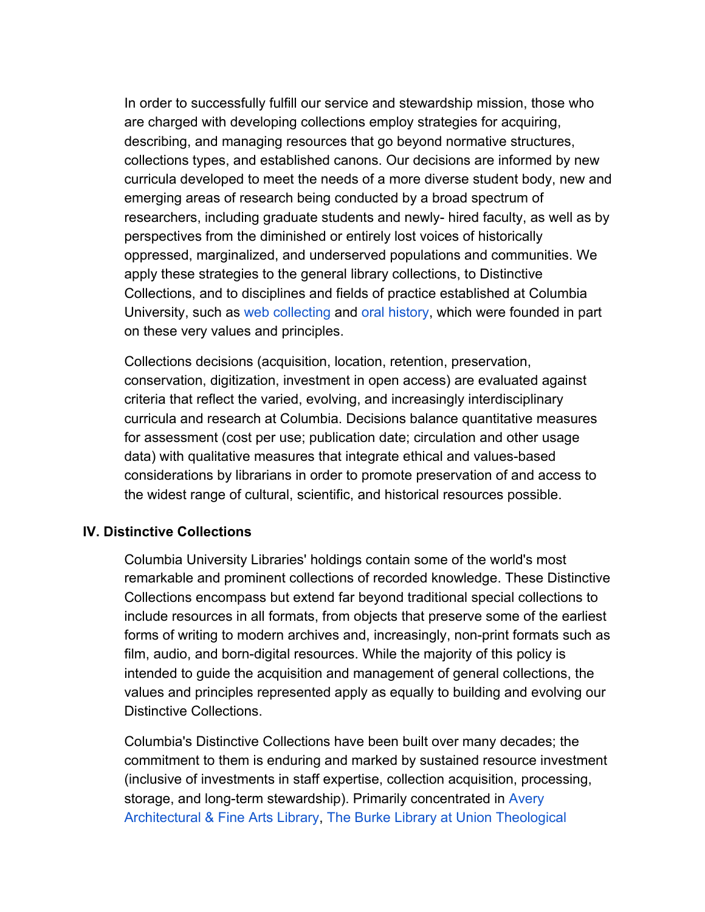In order to successfully fulfill our service and stewardship mission, those who are charged with developing collections employ strategies for acquiring, describing, and managing resources that go beyond normative structures, collections types, and established canons. Our decisions are informed by new curricula developed to meet the needs of a more diverse student body, new and emerging areas of research being conducted by a broad spectrum of researchers, including graduate students and newly- hired faculty, as well as by perspectives from the diminished or entirely lost voices of historically oppressed, marginalized, and underserved populations and communities. We apply these strategies to the general library collections, to Distinctive Collections, and to disciplines and fields of practice established at Columbia University, such as web collecting and oral history, which were founded in part on these very values and principles.

Collections decisions (acquisition, location, retention, preservation, conservation, digitization, investment in open access) are evaluated against criteria that reflect the varied, evolving, and increasingly interdisciplinary curricula and research at Columbia. Decisions balance quantitative measures for assessment (cost per use; publication date; circulation and other usage data) with qualitative measures that integrate ethical and values-based considerations by librarians in order to promote preservation of and access to the widest range of cultural, scientific, and historical resources possible.

# **IV. Distinctive Collections**

Columbia University Libraries' holdings contain some of the world's most remarkable and prominent collections of recorded knowledge. These Distinctive Collections encompass but extend far beyond traditional special collections to include resources in all formats, from objects that preserve some of the earliest forms of writing to modern archives and, increasingly, non-print formats such as film, audio, and born-digital resources. While the majority of this policy is intended to guide the acquisition and management of general collections, the values and principles represented apply as equally to building and evolving our Distinctive Collections.

Columbia's Distinctive Collections have been built over many decades; the commitment to them is enduring and marked by sustained resource investment (inclusive of investments in staff expertise, collection acquisition, processing, storage, and long-term stewardship). Primarily concentrated in Avery Architectural & Fine Arts Library, The Burke Library at Union Theological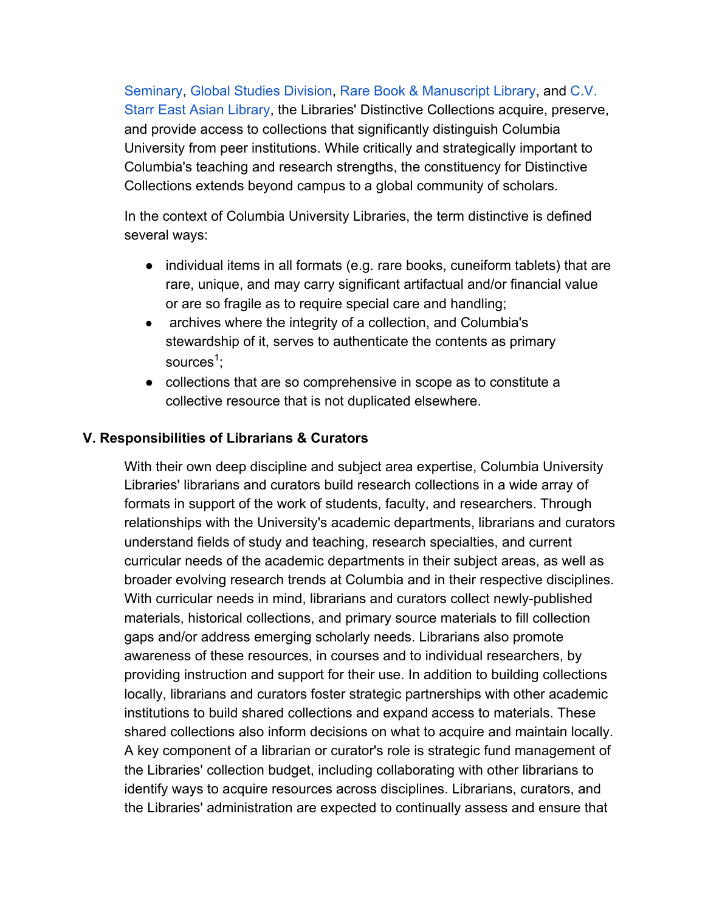Seminary, Global Studies Division, Rare Book & Manuscript Library, and C.V. Starr East Asian Library, the Libraries' Distinctive Collections acquire, preserve, and provide access to collections that significantly distinguish Columbia University from peer institutions. While critically and strategically important to Columbia's teaching and research strengths, the constituency for Distinctive Collections extends beyond campus to a global community of scholars.

In the context of Columbia University Libraries, the term distinctive is defined several ways:

- individual items in all formats (e.g. rare books, cuneiform tablets) that are rare, unique, and may carry significant artifactual and/or financial value or are so fragile as to require special care and handling;
- archives where the integrity of a collection, and Columbia's stewardship of it, serves to authenticate the contents as primary sources<sup>1</sup>;
- collections that are so comprehensive in scope as to constitute a collective resource that is not duplicated elsewhere.

### **V. Responsibilities of Librarians & Curators**

With their own deep discipline and subject area expertise, Columbia University Libraries' librarians and curators build research collections in a wide array of formats in support of the work of students, faculty, and researchers. Through relationships with the University's academic departments, librarians and curators understand fields of study and teaching, research specialties, and current curricular needs of the academic departments in their subject areas, as well as broader evolving research trends at Columbia and in their respective disciplines. With curricular needs in mind, librarians and curators collect newly-published materials, historical collections, and primary source materials to fill collection gaps and/or address emerging scholarly needs. Librarians also promote awareness of these resources, in courses and to individual researchers, by providing instruction and support for their use. In addition to building collections locally, librarians and curators foster strategic partnerships with other academic institutions to build shared collections and expand access to materials. These shared collections also inform decisions on what to acquire and maintain locally. A key component of a librarian or curator's role is strategic fund management of the Libraries' collection budget, including collaborating with other librarians to identify ways to acquire resources across disciplines. Librarians, curators, and the Libraries' administration are expected to continually assess and ensure that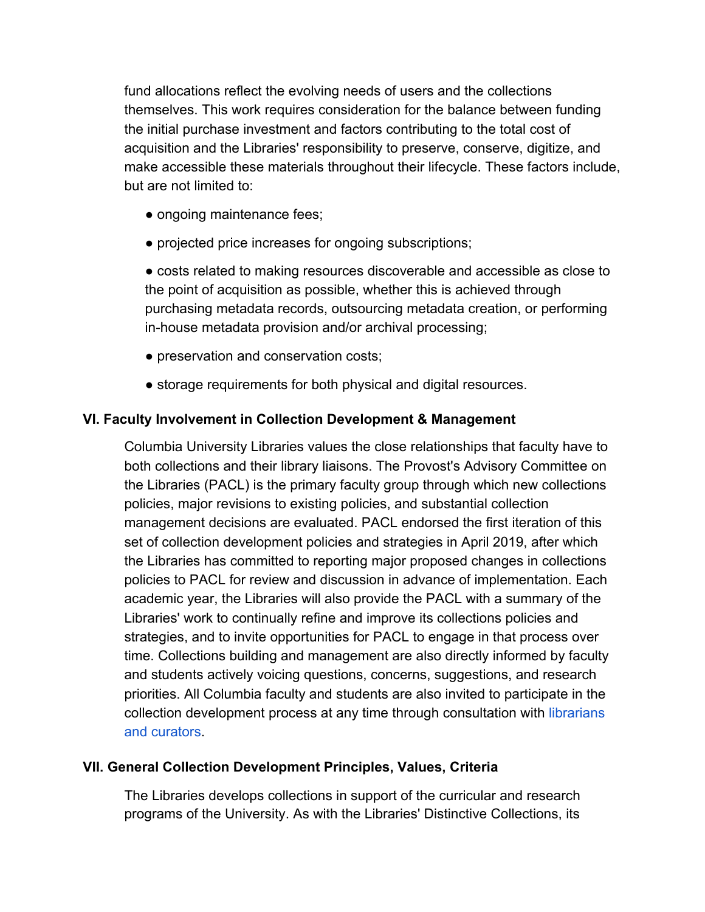fund allocations reflect the evolving needs of users and the collections themselves. This work requires consideration for the balance between funding the initial purchase investment and factors contributing to the total cost of acquisition and the Libraries' responsibility to preserve, conserve, digitize, and make accessible these materials throughout their lifecycle. These factors include, but are not limited to:

- ongoing maintenance fees;
- projected price increases for ongoing subscriptions;

● costs related to making resources discoverable and accessible as close to the point of acquisition as possible, whether this is achieved through purchasing metadata records, outsourcing metadata creation, or performing in-house metadata provision and/or archival processing;

- preservation and conservation costs;
- storage requirements for both physical and digital resources.

# **VI. Faculty Involvement in Collection Development & Management**

Columbia University Libraries values the close relationships that faculty have to both collections and their library liaisons. The Provost's Advisory Committee on the Libraries (PACL) is the primary faculty group through which new collections policies, major revisions to existing policies, and substantial collection management decisions are evaluated. PACL endorsed the first iteration of this set of collection development policies and strategies in April 2019, after which the Libraries has committed to reporting major proposed changes in collections policies to PACL for review and discussion in advance of implementation. Each academic year, the Libraries will also provide the PACL with a summary of the Libraries' work to continually refine and improve its collections policies and strategies, and to invite opportunities for PACL to engage in that process over time. Collections building and management are also directly informed by faculty and students actively voicing questions, concerns, suggestions, and research priorities. All Columbia faculty and students are also invited to participate in the collection development process at any time through consultation with librarians and curators.

# **VII. General Collection Development Principles, Values, Criteria**

The Libraries develops collections in support of the curricular and research programs of the University. As with the Libraries' Distinctive Collections, its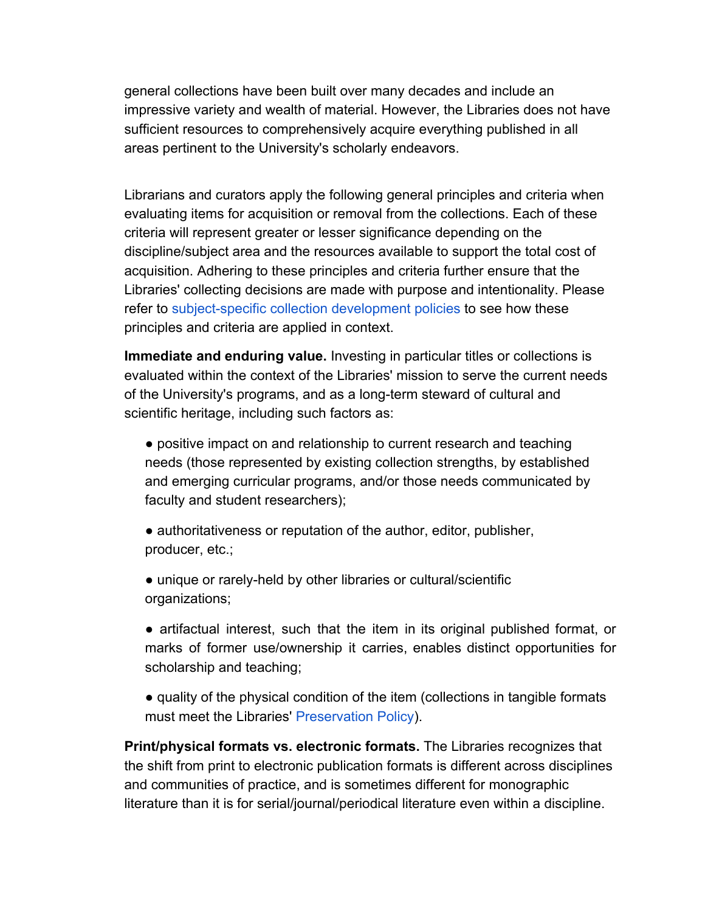general collections have been built over many decades and include an impressive variety and wealth of material. However, the Libraries does not have sufficient resources to comprehensively acquire everything published in all areas pertinent to the University's scholarly endeavors.

Librarians and curators apply the following general principles and criteria when evaluating items for acquisition or removal from the collections. Each of these criteria will represent greater or lesser significance depending on the discipline/subject area and the resources available to support the total cost of acquisition. Adhering to these principles and criteria further ensure that the Libraries' collecting decisions are made with purpose and intentionality. Please refer to subject-specific collection development policies to see how these principles and criteria are applied in context.

**Immediate and enduring value.** Investing in particular titles or collections is evaluated within the context of the Libraries' mission to serve the current needs of the University's programs, and as a long-term steward of cultural and scientific heritage, including such factors as:

● positive impact on and relationship to current research and teaching needs (those represented by existing collection strengths, by established and emerging curricular programs, and/or those needs communicated by faculty and student researchers);

• authoritativeness or reputation of the author, editor, publisher, producer, etc.;

● unique or rarely-held by other libraries or cultural/scientific organizations;

● artifactual interest, such that the item in its original published format, or marks of former use/ownership it carries, enables distinct opportunities for scholarship and teaching;

● quality of the physical condition of the item (collections in tangible formats must meet the Libraries' Preservation Policy).

**Print/physical formats vs. electronic formats.** The Libraries recognizes that the shift from print to electronic publication formats is different across disciplines and communities of practice, and is sometimes different for monographic literature than it is for serial/journal/periodical literature even within a discipline.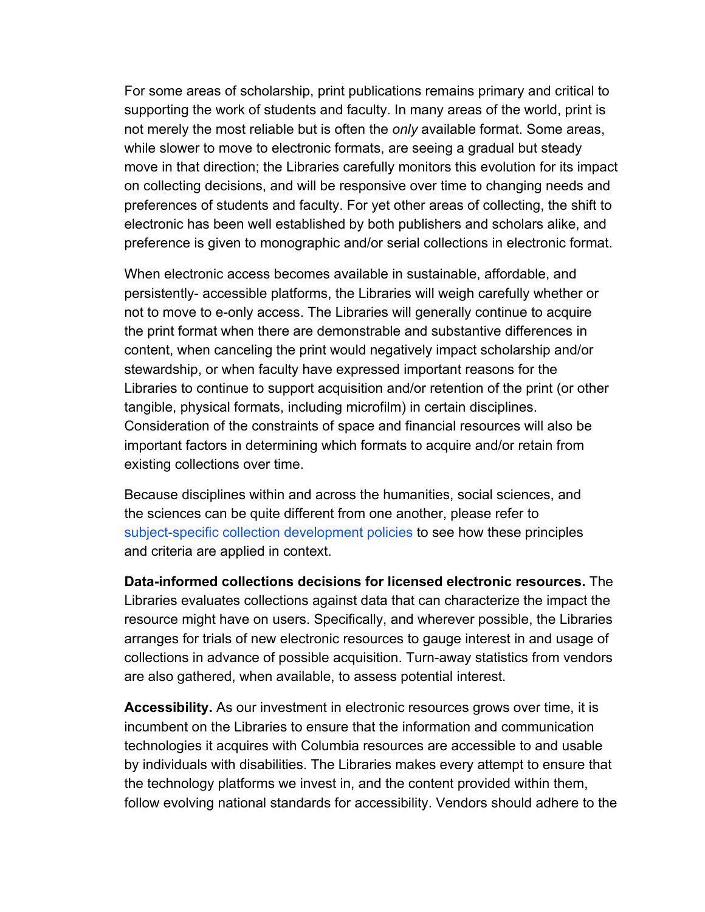For some areas of scholarship, print publications remains primary and critical to supporting the work of students and faculty. In many areas of the world, print is not merely the most reliable but is often the *only* available format. Some areas, while slower to move to electronic formats, are seeing a gradual but steady move in that direction; the Libraries carefully monitors this evolution for its impact on collecting decisions, and will be responsive over time to changing needs and preferences of students and faculty. For yet other areas of collecting, the shift to electronic has been well established by both publishers and scholars alike, and preference is given to monographic and/or serial collections in electronic format.

When electronic access becomes available in sustainable, affordable, and persistently- accessible platforms, the Libraries will weigh carefully whether or not to move to e-only access. The Libraries will generally continue to acquire the print format when there are demonstrable and substantive differences in content, when canceling the print would negatively impact scholarship and/or stewardship, or when faculty have expressed important reasons for the Libraries to continue to support acquisition and/or retention of the print (or other tangible, physical formats, including microfilm) in certain disciplines. Consideration of the constraints of space and financial resources will also be important factors in determining which formats to acquire and/or retain from existing collections over time.

Because disciplines within and across the humanities, social sciences, and the sciences can be quite different from one another, please refer to subject-specific collection development policies to see how these principles and criteria are applied in context.

**Data-informed collections decisions for licensed electronic resources.** The Libraries evaluates collections against data that can characterize the impact the resource might have on users. Specifically, and wherever possible, the Libraries arranges for trials of new electronic resources to gauge interest in and usage of collections in advance of possible acquisition. Turn-away statistics from vendors are also gathered, when available, to assess potential interest.

**Accessibility.** As our investment in electronic resources grows over time, it is incumbent on the Libraries to ensure that the information and communication technologies it acquires with Columbia resources are accessible to and usable by individuals with disabilities. The Libraries makes every attempt to ensure that the technology platforms we invest in, and the content provided within them, follow evolving national standards for accessibility. Vendors should adhere to the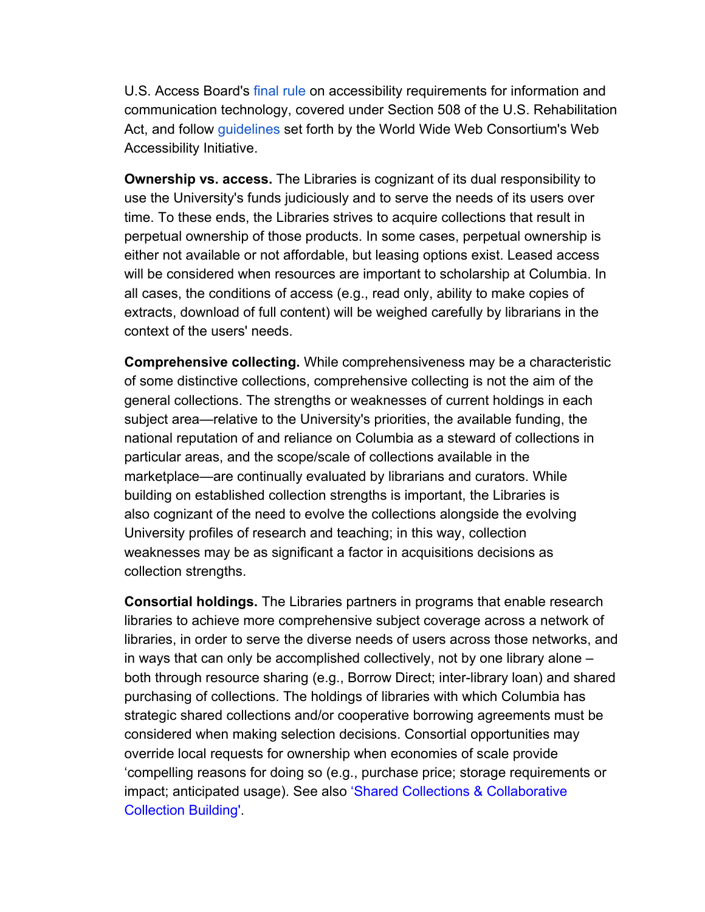U.S. Access Board's final rule on accessibility requirements for information and communication technology, covered under Section 508 of the U.S. Rehabilitation Act, and follow guidelines set forth by the World Wide Web Consortium's Web Accessibility Initiative.

**Ownership vs. access.** The Libraries is cognizant of its dual responsibility to use the University's funds judiciously and to serve the needs of its users over time. To these ends, the Libraries strives to acquire collections that result in perpetual ownership of those products. In some cases, perpetual ownership is either not available or not affordable, but leasing options exist. Leased access will be considered when resources are important to scholarship at Columbia. In all cases, the conditions of access (e.g., read only, ability to make copies of extracts, download of full content) will be weighed carefully by librarians in the context of the users' needs.

**Comprehensive collecting.** While comprehensiveness may be a characteristic of some distinctive collections, comprehensive collecting is not the aim of the general collections. The strengths or weaknesses of current holdings in each subject area—relative to the University's priorities, the available funding, the national reputation of and reliance on Columbia as a steward of collections in particular areas, and the scope/scale of collections available in the marketplace—are continually evaluated by librarians and curators. While building on established collection strengths is important, the Libraries is also cognizant of the need to evolve the collections alongside the evolving University profiles of research and teaching; in this way, collection weaknesses may be as significant a factor in acquisitions decisions as collection strengths.

**Consortial holdings.** The Libraries partners in programs that enable research libraries to achieve more comprehensive subject coverage across a network of libraries, in order to serve the diverse needs of users across those networks, and in ways that can only be accomplished collectively, not by one library alone – both through resource sharing (e.g., Borrow Direct; inter-library loan) and shared purchasing of collections. The holdings of libraries with which Columbia has strategic shared collections and/or cooperative borrowing agreements must be considered when making selection decisions. Consortial opportunities may override local requests for ownership when economies of scale provide 'compelling reasons for doing so (e.g., purchase price; storage requirements or impact; anticipated usage). See also 'Shared Collections & Collaborative Collection Building'.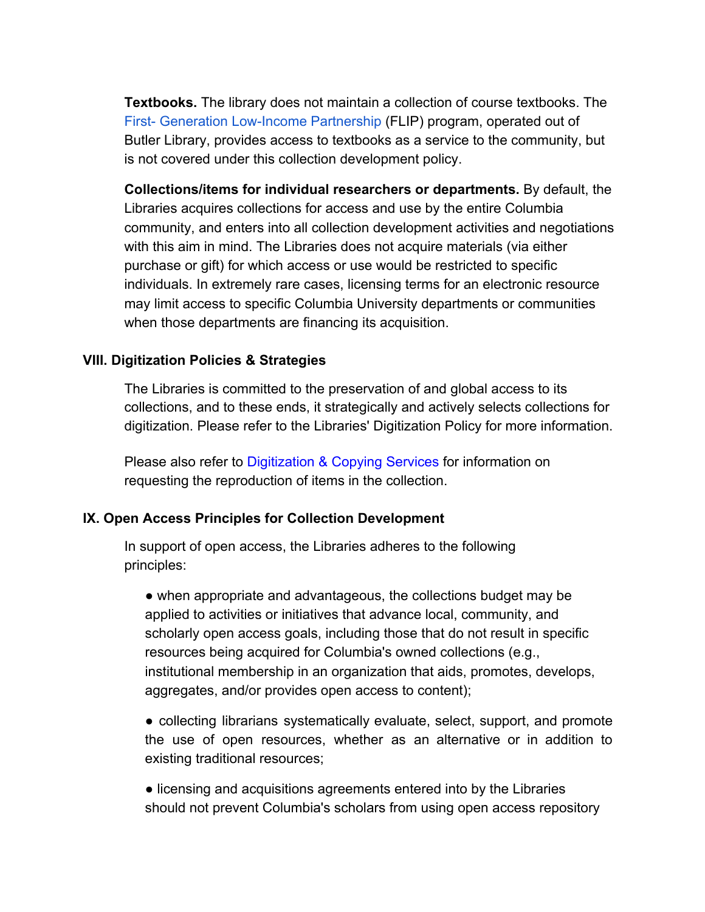**Textbooks.** The library does not maintain a collection of course textbooks. The First- Generation Low-Income Partnership (FLIP) program, operated out of Butler Library, provides access to textbooks as a service to the community, but is not covered under this collection development policy.

**Collections/items for individual researchers or departments.** By default, the Libraries acquires collections for access and use by the entire Columbia community, and enters into all collection development activities and negotiations with this aim in mind. The Libraries does not acquire materials (via either purchase or gift) for which access or use would be restricted to specific individuals. In extremely rare cases, licensing terms for an electronic resource may limit access to specific Columbia University departments or communities when those departments are financing its acquisition.

#### **VIII. Digitization Policies & Strategies**

The Libraries is committed to the preservation of and global access to its collections, and to these ends, it strategically and actively selects collections for digitization. Please refer to the Libraries' Digitization Policy for more information.

Please also refer to Digitization & Copying Services for information on requesting the reproduction of items in the collection.

#### **IX. Open Access Principles for Collection Development**

In support of open access, the Libraries adheres to the following principles:

• when appropriate and advantageous, the collections budget may be applied to activities or initiatives that advance local, community, and scholarly open access goals, including those that do not result in specific resources being acquired for Columbia's owned collections (e.g., institutional membership in an organization that aids, promotes, develops, aggregates, and/or provides open access to content);

● collecting librarians systematically evaluate, select, support, and promote the use of open resources, whether as an alternative or in addition to existing traditional resources;

● licensing and acquisitions agreements entered into by the Libraries should not prevent Columbia's scholars from using open access repository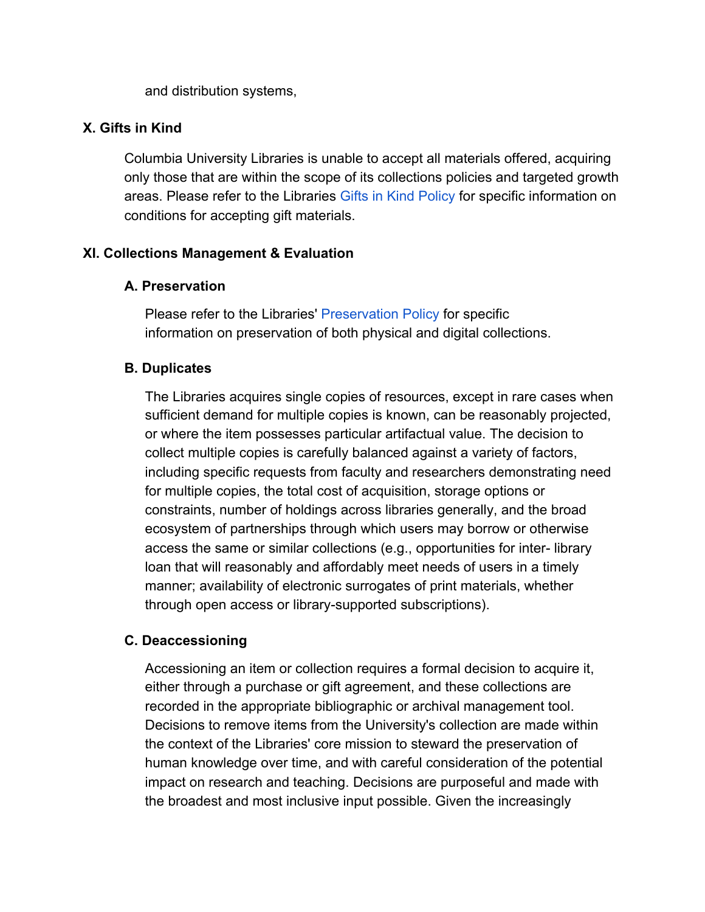and distribution systems,

#### **X. Gifts in Kind**

Columbia University Libraries is unable to accept all materials offered, acquiring only those that are within the scope of its collections policies and targeted growth areas. Please refer to the Libraries Gifts in Kind Policy for specific information on conditions for accepting gift materials.

### **XI. Collections Management & Evaluation**

#### **A. Preservation**

Please refer to the Libraries' Preservation Policy for specific information on preservation of both physical and digital collections.

### **B. Duplicates**

The Libraries acquires single copies of resources, except in rare cases when sufficient demand for multiple copies is known, can be reasonably projected, or where the item possesses particular artifactual value. The decision to collect multiple copies is carefully balanced against a variety of factors, including specific requests from faculty and researchers demonstrating need for multiple copies, the total cost of acquisition, storage options or constraints, number of holdings across libraries generally, and the broad ecosystem of partnerships through which users may borrow or otherwise access the same or similar collections (e.g., opportunities for inter- library loan that will reasonably and affordably meet needs of users in a timely manner; availability of electronic surrogates of print materials, whether through open access or library-supported subscriptions).

#### **C. Deaccessioning**

Accessioning an item or collection requires a formal decision to acquire it, either through a purchase or gift agreement, and these collections are recorded in the appropriate bibliographic or archival management tool. Decisions to remove items from the University's collection are made within the context of the Libraries' core mission to steward the preservation of human knowledge over time, and with careful consideration of the potential impact on research and teaching. Decisions are purposeful and made with the broadest and most inclusive input possible. Given the increasingly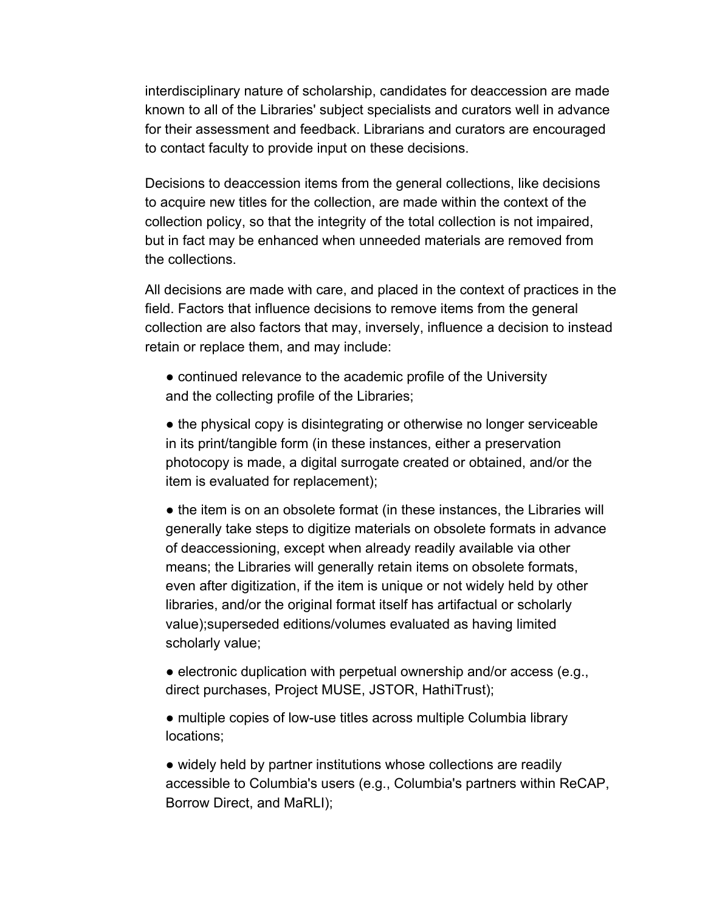interdisciplinary nature of scholarship, candidates for deaccession are made known to all of the Libraries' subject specialists and curators well in advance for their assessment and feedback. Librarians and curators are encouraged to contact faculty to provide input on these decisions.

Decisions to deaccession items from the general collections, like decisions to acquire new titles for the collection, are made within the context of the collection policy, so that the integrity of the total collection is not impaired, but in fact may be enhanced when unneeded materials are removed from the collections.

All decisions are made with care, and placed in the context of practices in the field. Factors that influence decisions to remove items from the general collection are also factors that may, inversely, influence a decision to instead retain or replace them, and may include:

• continued relevance to the academic profile of the University and the collecting profile of the Libraries;

• the physical copy is disintegrating or otherwise no longer serviceable in its print/tangible form (in these instances, either a preservation photocopy is made, a digital surrogate created or obtained, and/or the item is evaluated for replacement);

• the item is on an obsolete format (in these instances, the Libraries will generally take steps to digitize materials on obsolete formats in advance of deaccessioning, except when already readily available via other means; the Libraries will generally retain items on obsolete formats, even after digitization, if the item is unique or not widely held by other libraries, and/or the original format itself has artifactual or scholarly value);superseded editions/volumes evaluated as having limited scholarly value;

• electronic duplication with perpetual ownership and/or access (e.g., direct purchases, Project MUSE, JSTOR, HathiTrust);

• multiple copies of low-use titles across multiple Columbia library locations;

• widely held by partner institutions whose collections are readily accessible to Columbia's users (e.g., Columbia's partners within ReCAP, Borrow Direct, and MaRLI);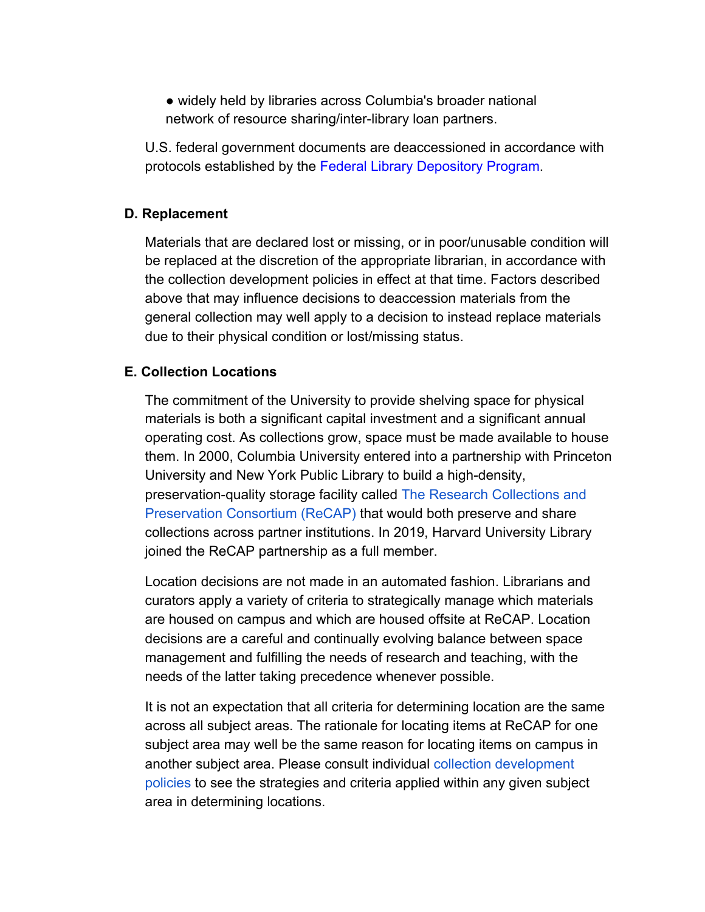● widely held by libraries across Columbia's broader national network of resource sharing/inter-library loan partners.

U.S. federal government documents are deaccessioned in accordance with protocols established by the Federal Library Depository Program.

#### **D. Replacement**

Materials that are declared lost or missing, or in poor/unusable condition will be replaced at the discretion of the appropriate librarian, in accordance with the collection development policies in effect at that time. Factors described above that may influence decisions to deaccession materials from the general collection may well apply to a decision to instead replace materials due to their physical condition or lost/missing status.

### **E. Collection Locations**

The commitment of the University to provide shelving space for physical materials is both a significant capital investment and a significant annual operating cost. As collections grow, space must be made available to house them. In 2000, Columbia University entered into a partnership with Princeton University and New York Public Library to build a high-density, preservation-quality storage facility called The Research Collections and Preservation Consortium (ReCAP) that would both preserve and share collections across partner institutions. In 2019, Harvard University Library joined the ReCAP partnership as a full member.

Location decisions are not made in an automated fashion. Librarians and curators apply a variety of criteria to strategically manage which materials are housed on campus and which are housed offsite at ReCAP. Location decisions are a careful and continually evolving balance between space management and fulfilling the needs of research and teaching, with the needs of the latter taking precedence whenever possible.

It is not an expectation that all criteria for determining location are the same across all subject areas. The rationale for locating items at ReCAP for one subject area may well be the same reason for locating items on campus in another subject area. Please consult individual collection development policies to see the strategies and criteria applied within any given subject area in determining locations.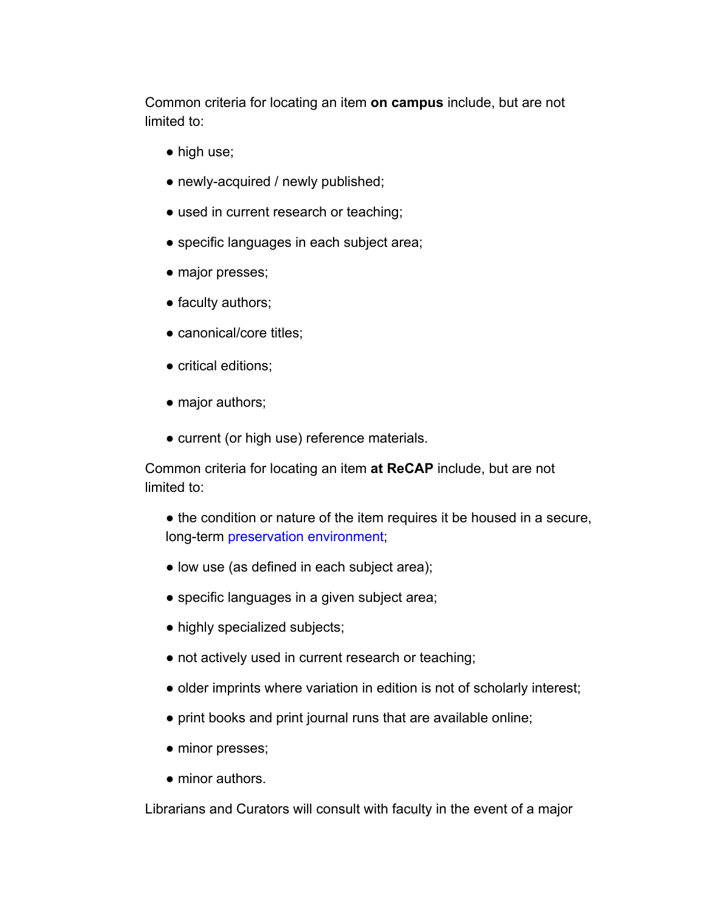Common criteria for locating an item **on campus** include, but are not limited to:

- high use;
- newly-acquired / newly published;
- used in current research or teaching;
- specific languages in each subject area;
- major presses;
- faculty authors;
- canonical/core titles;
- critical editions;
- major authors;
- current (or high use) reference materials.

Common criteria for locating an item **at ReCAP** include, but are not limited to:

• the condition or nature of the item requires it be housed in a secure, long-term preservation environment;

- low use (as defined in each subject area);
- specific languages in a given subject area;
- highly specialized subjects;
- not actively used in current research or teaching;
- older imprints where variation in edition is not of scholarly interest;
- print books and print journal runs that are available online;
- minor presses;
- minor authors.

Librarians and Curators will consult with faculty in the event of a major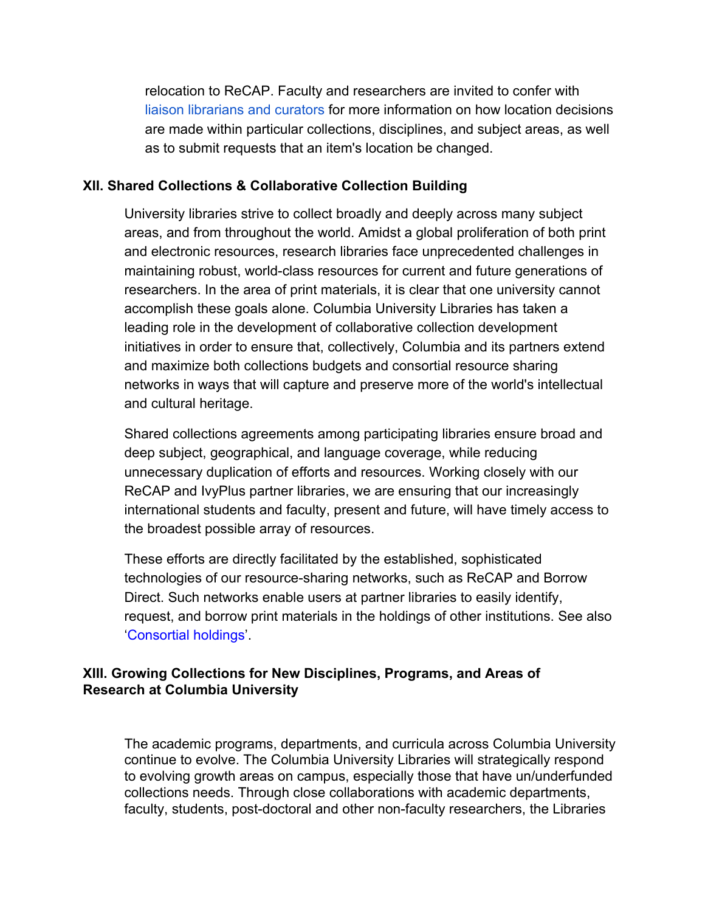relocation to ReCAP. Faculty and researchers are invited to confer with liaison librarians and curators for more information on how location decisions are made within particular collections, disciplines, and subject areas, as well as to submit requests that an item's location be changed.

#### **XII. Shared Collections & Collaborative Collection Building**

University libraries strive to collect broadly and deeply across many subject areas, and from throughout the world. Amidst a global proliferation of both print and electronic resources, research libraries face unprecedented challenges in maintaining robust, world-class resources for current and future generations of researchers. In the area of print materials, it is clear that one university cannot accomplish these goals alone. Columbia University Libraries has taken a leading role in the development of collaborative collection development initiatives in order to ensure that, collectively, Columbia and its partners extend and maximize both collections budgets and consortial resource sharing networks in ways that will capture and preserve more of the world's intellectual and cultural heritage.

Shared collections agreements among participating libraries ensure broad and deep subject, geographical, and language coverage, while reducing unnecessary duplication of efforts and resources. Working closely with our ReCAP and IvyPlus partner libraries, we are ensuring that our increasingly international students and faculty, present and future, will have timely access to the broadest possible array of resources.

These efforts are directly facilitated by the established, sophisticated technologies of our resource-sharing networks, such as ReCAP and Borrow Direct. Such networks enable users at partner libraries to easily identify, request, and borrow print materials in the holdings of other institutions. See also 'Consortial holdings'.

### **XIII. Growing Collections for New Disciplines, Programs, and Areas of Research at Columbia University**

The academic programs, departments, and curricula across Columbia University continue to evolve. The Columbia University Libraries will strategically respond to evolving growth areas on campus, especially those that have un/underfunded collections needs. Through close collaborations with academic departments, faculty, students, post-doctoral and other non-faculty researchers, the Libraries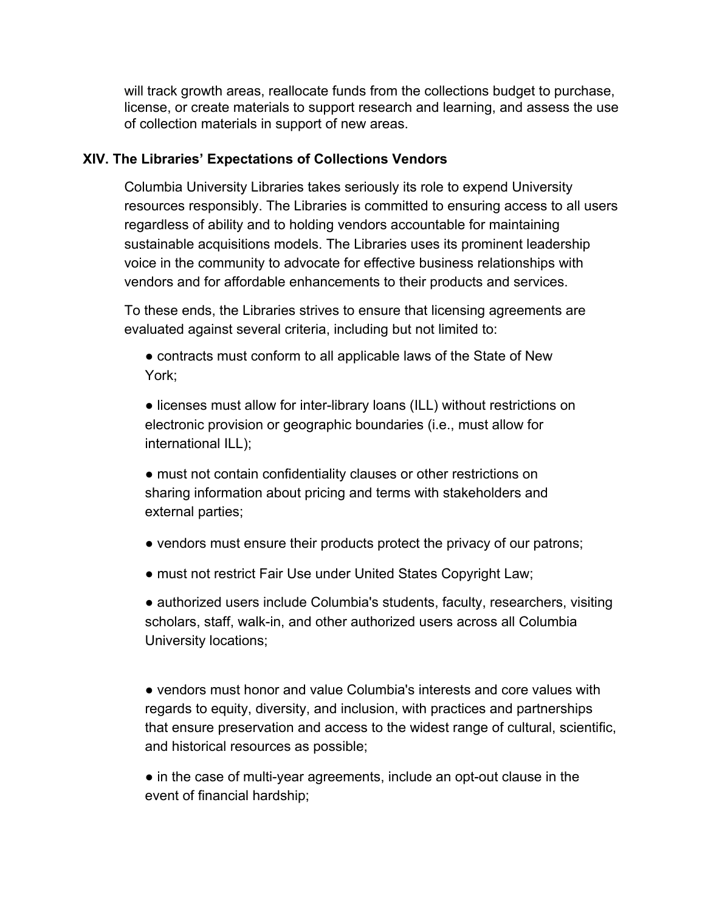will track growth areas, reallocate funds from the collections budget to purchase, license, or create materials to support research and learning, and assess the use of collection materials in support of new areas.

#### **XIV. The Libraries' Expectations of Collections Vendors**

Columbia University Libraries takes seriously its role to expend University resources responsibly. The Libraries is committed to ensuring access to all users regardless of ability and to holding vendors accountable for maintaining sustainable acquisitions models. The Libraries uses its prominent leadership voice in the community to advocate for effective business relationships with vendors and for affordable enhancements to their products and services.

To these ends, the Libraries strives to ensure that licensing agreements are evaluated against several criteria, including but not limited to:

• contracts must conform to all applicable laws of the State of New York;

● licenses must allow for inter-library loans (ILL) without restrictions on electronic provision or geographic boundaries (i.e., must allow for international ILL);

● must not contain confidentiality clauses or other restrictions on sharing information about pricing and terms with stakeholders and external parties;

- vendors must ensure their products protect the privacy of our patrons;
- must not restrict Fair Use under United States Copyright Law;

● authorized users include Columbia's students, faculty, researchers, visiting scholars, staff, walk-in, and other authorized users across all Columbia University locations;

● vendors must honor and value Columbia's interests and core values with regards to equity, diversity, and inclusion, with practices and partnerships that ensure preservation and access to the widest range of cultural, scientific, and historical resources as possible;

• in the case of multi-year agreements, include an opt-out clause in the event of financial hardship;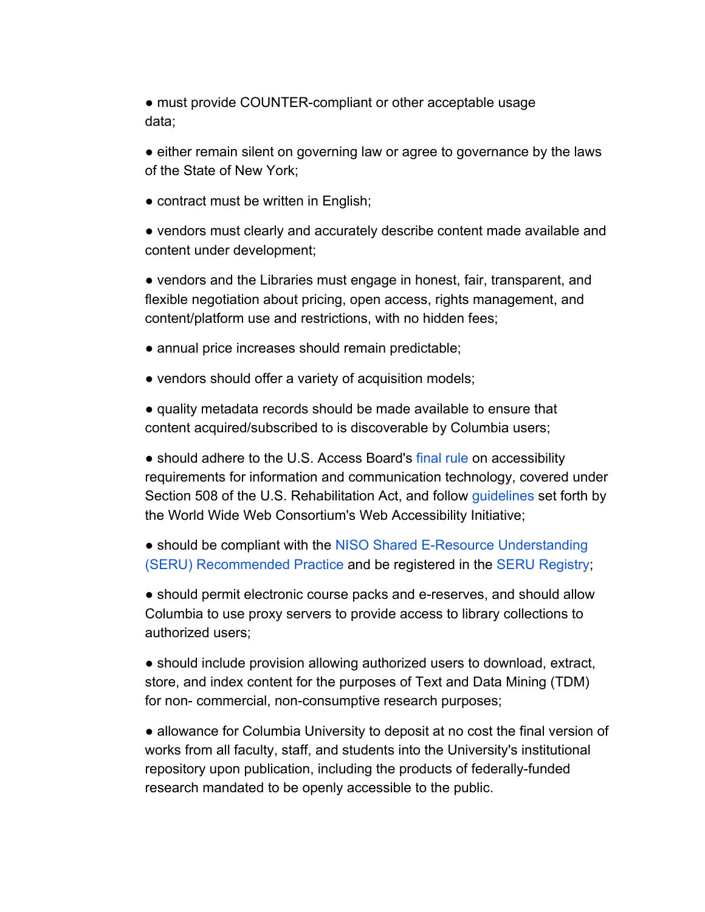• must provide COUNTER-compliant or other acceptable usage data;

• either remain silent on governing law or agree to governance by the laws of the State of New York;

• contract must be written in English;

● vendors must clearly and accurately describe content made available and content under development;

• vendors and the Libraries must engage in honest, fair, transparent, and flexible negotiation about pricing, open access, rights management, and content/platform use and restrictions, with no hidden fees;

- annual price increases should remain predictable;
- vendors should offer a variety of acquisition models;

● quality metadata records should be made available to ensure that content acquired/subscribed to is discoverable by Columbia users;

• should adhere to the U.S. Access Board's final rule on accessibility requirements for information and communication technology, covered under Section 508 of the U.S. Rehabilitation Act, and follow guidelines set forth by the World Wide Web Consortium's Web Accessibility Initiative;

● should be compliant with the NISO Shared E-Resource Understanding (SERU) Recommended Practice and be registered in the SERU Registry;

● should permit electronic course packs and e-reserves, and should allow Columbia to use proxy servers to provide access to library collections to authorized users;

● should include provision allowing authorized users to download, extract, store, and index content for the purposes of Text and Data Mining (TDM) for non- commercial, non-consumptive research purposes;

● allowance for Columbia University to deposit at no cost the final version of works from all faculty, staff, and students into the University's institutional repository upon publication, including the products of federally-funded research mandated to be openly accessible to the public.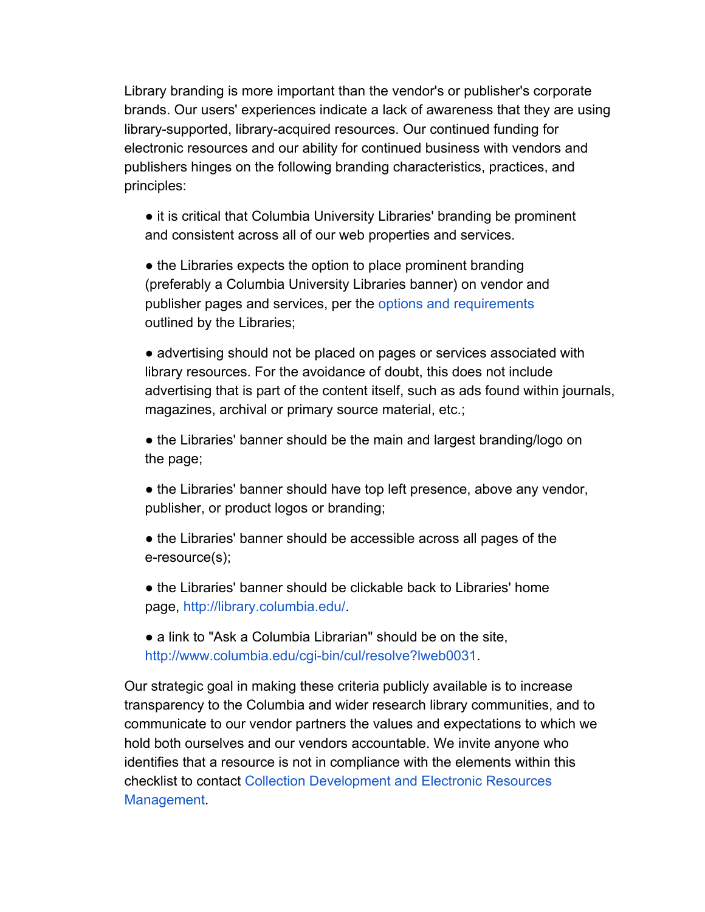Library branding is more important than the vendor's or publisher's corporate brands. Our users' experiences indicate a lack of awareness that they are using library-supported, library-acquired resources. Our continued funding for electronic resources and our ability for continued business with vendors and publishers hinges on the following branding characteristics, practices, and principles:

● it is critical that Columbia University Libraries' branding be prominent and consistent across all of our web properties and services.

• the Libraries expects the option to place prominent branding (preferably a Columbia University Libraries banner) on vendor and publisher pages and services, per the options and requirements outlined by the Libraries;

● advertising should not be placed on pages or services associated with library resources. For the avoidance of doubt, this does not include advertising that is part of the content itself, such as ads found within journals, magazines, archival or primary source material, etc.;

• the Libraries' banner should be the main and largest branding/logo on the page;

• the Libraries' banner should have top left presence, above any vendor, publisher, or product logos or branding;

• the Libraries' banner should be accessible across all pages of the e-resource(s);

● the Libraries' banner should be clickable back to Libraries' home page, http://library.columbia.edu/.

• a link to "Ask a Columbia Librarian" should be on the site, http://www.columbia.edu/cgi-bin/cul/resolve?lweb0031.

Our strategic goal in making these criteria publicly available is to increase transparency to the Columbia and wider research library communities, and to communicate to our vendor partners the values and expectations to which we hold both ourselves and our vendors accountable. We invite anyone who identifies that a resource is not in compliance with the elements within this checklist to contact Collection Development and Electronic Resources Management.